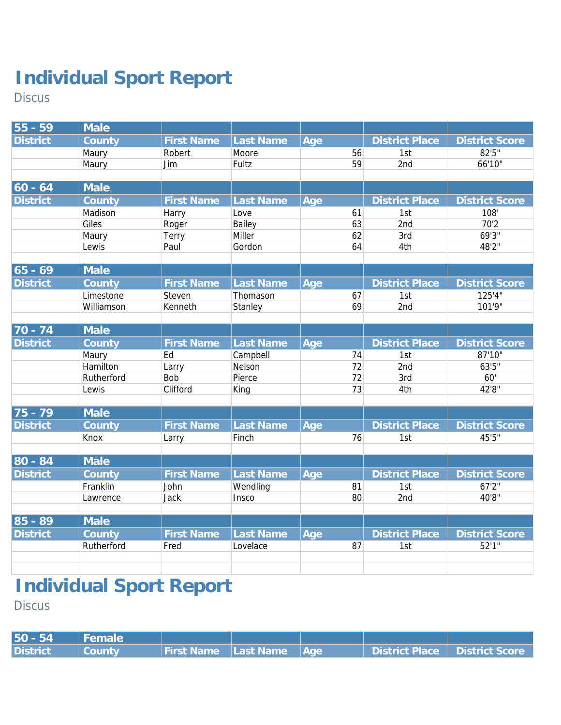Discus

| $55 - 59$       | Male       |                   |                  |     |    |                       |                       |
|-----------------|------------|-------------------|------------------|-----|----|-----------------------|-----------------------|
| <b>District</b> | County     | <b>First Name</b> | <b>Last Name</b> | Age |    | <b>District Place</b> | <b>District Score</b> |
|                 | Maury      | Robert            | Moore            |     | 56 | 1st                   | 82'5"                 |
|                 | Maury      | Jim               | Fultz            |     | 59 | 2nd                   | 66'10"                |
|                 |            |                   |                  |     |    |                       |                       |
| $60 - 64$       | Male       |                   |                  |     |    |                       |                       |
| <b>District</b> | County     | <b>First Name</b> | <b>Last Name</b> | Age |    | <b>District Place</b> | <b>District Score</b> |
|                 | Madison    | Harry             | Love             |     | 61 | 1st                   | 108'                  |
|                 | Giles      | Roger             | Bailey           |     | 63 | 2nd                   | 70'2                  |
|                 | Maury      | Terry             | Miller           |     | 62 | 3rd                   | 69'3"                 |
|                 | Lewis      | Paul              | Gordon           |     | 64 | 4th                   | 48'2"                 |
|                 |            |                   |                  |     |    |                       |                       |
| $65 - 69$       | Male       |                   |                  |     |    |                       |                       |
| <b>District</b> | County     | <b>First Name</b> | <b>Last Name</b> | Age |    | <b>District Place</b> | <b>District Score</b> |
|                 | Limestone  | Steven            | Thomason         |     | 67 | 1st                   | 125'4"                |
|                 | Williamson | Kenneth           | Stanley          |     | 69 | 2nd                   | 101'9"                |
|                 |            |                   |                  |     |    |                       |                       |
| 70 - 74         | Male       |                   |                  |     |    |                       |                       |
| <b>District</b> | County     | <b>First Name</b> | Last Name        | Age |    | <b>District Place</b> | <b>District Score</b> |
|                 | Maury      | Ed                | Campbell         |     | 74 | 1st                   | 87'10"                |
|                 | Hamilton   | Larry             | Nelson           |     | 72 | 2nd                   | 63'5"                 |
|                 | Rutherford | <b>Bob</b>        | Pierce           |     | 72 | 3rd                   | 60'                   |
|                 | Lewis      | Clifford          | King             |     | 73 | 4th                   | 42'8"                 |
| 75 - 79         | Male       |                   |                  |     |    |                       |                       |
| <b>District</b> |            | <b>First Name</b> | <b>Last Name</b> |     |    | <b>District Place</b> | <b>District Score</b> |
|                 | County     |                   |                  | Age | 76 |                       | 45'5"                 |
|                 | Knox       | Larry             | Finch            |     |    | 1st                   |                       |
| $80 - 84$       | Male       |                   |                  |     |    |                       |                       |
| <b>District</b> | County     | <b>First Name</b> | Last Name        | Age |    | <b>District Place</b> | <b>District Score</b> |
|                 | Franklin   | John              | Wendling         |     | 81 | 1st                   | 67'2"                 |
|                 | Lawrence   | Jack              | Insco            |     | 80 | 2nd                   | 40'8"                 |
|                 |            |                   |                  |     |    |                       |                       |
| 85 - 89         | Male       |                   |                  |     |    |                       |                       |
| <b>District</b> | County     | <b>First Name</b> | Last Name        | Age |    | <b>District Place</b> | <b>District Score</b> |
|                 | Rutherford | Fred              | Lovelace         |     | 87 | 1st                   | 52'1''                |
|                 |            |                   |                  |     |    |                       |                       |
|                 |            |                   |                  |     |    |                       |                       |
|                 |            |                   |                  |     |    |                       |                       |

### **Individual Sport Report**

**Discus** 

| 50 - 54  | VFemale       |                                 |  |                                 |  |
|----------|---------------|---------------------------------|--|---------------------------------|--|
| District | <b>County</b> | <b>First Name</b> Last Name Age |  | District Place   District Score |  |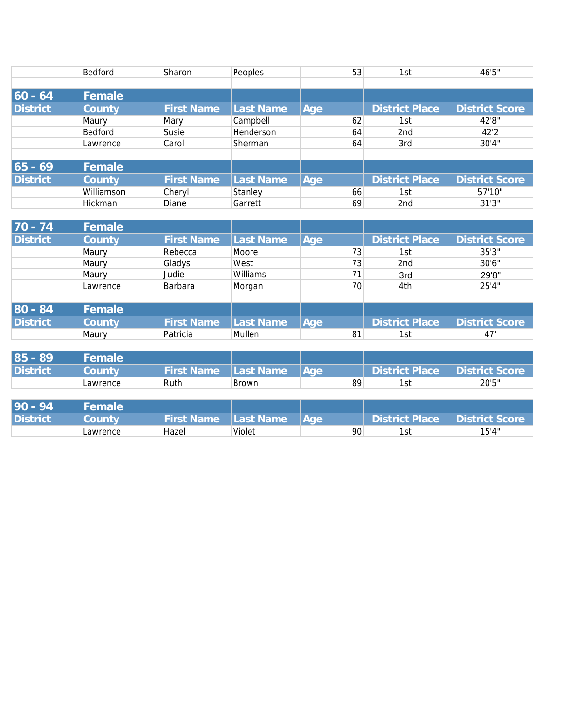|                 | Bedford    | Sharon            | Peoples   |     | 53 | 1st                   | 46'5"                 |
|-----------------|------------|-------------------|-----------|-----|----|-----------------------|-----------------------|
|                 |            |                   |           |     |    |                       |                       |
| $60 - 64$       | Female     |                   |           |     |    |                       |                       |
| <b>District</b> | County     | <b>First Name</b> | Last Name | Age |    | <b>District Place</b> | <b>District Score</b> |
|                 | Maury      | Mary              | Campbell  |     | 62 | 1st                   | 42'8"                 |
|                 | Bedford    | Susie             | Henderson |     | 64 | 2 <sub>nd</sub>       | 42'2                  |
|                 | Lawrence   | Carol             | Sherman   |     | 64 | 3rd                   | 30'4"                 |
|                 |            |                   |           |     |    |                       |                       |
| $65 - 69$       | Female     |                   |           |     |    |                       |                       |
| <b>District</b> | County     | <b>First Name</b> | Last Name | Age |    | <b>District Place</b> | <b>District Score</b> |
|                 | Williamson | Cheryl            | Stanley   |     | 66 | 1st                   | 57'10"                |
|                 | Hickman    | Diane             | Garrett   |     | 69 | 2 <sub>nd</sub>       | 31'3''                |

| $70 - 74$       | <b>Female</b>  |                   |           |     |                       |                       |
|-----------------|----------------|-------------------|-----------|-----|-----------------------|-----------------------|
| <b>District</b> | County         | <b>First Name</b> | Last Name | Age | <b>District Place</b> | <b>District Score</b> |
|                 | Maury          | Rebecca           | Moore     | 73  | 1st                   | 35'3''                |
|                 | Maury          | Gladys            | West      | 73  | 2nd                   | 30'6"                 |
|                 | Maury          | Judie             | Williams  | 71  | 3rd                   | 29'8"                 |
|                 | Lawrence       | Barbara           | Morgan    | 70  | 4th                   | 25'4"                 |
|                 |                |                   |           |     |                       |                       |
| 80 - 84         | <b> Female</b> |                   |           |     |                       |                       |
| <b>District</b> | County         | <b>First Name</b> | Last Name | Aqe | <b>District Place</b> | <b>District Score</b> |
|                 | Maury          | Patricia          | Mullen    | 81  | 1st                   | 47'                   |

| $85 - 89$       | Female   |                   |           |             |                |                       |
|-----------------|----------|-------------------|-----------|-------------|----------------|-----------------------|
| <b>District</b> | zountv   | <b>First Name</b> | Last Name | <b>A</b> de | District Place | <b>District Score</b> |
|                 | Lawrence | Ruth              | Brown     | 89          | 1st            | 20'5"                 |

| $90 -$<br>-94   | Female   |                    |            |      |                |                       |
|-----------------|----------|--------------------|------------|------|----------------|-----------------------|
| <b>District</b> | zountv   | <b>First Namer</b> | ILast Name | lAae | District Place | <b>District Score</b> |
|                 | Lawrence | Hazel              | Violet     | 90   | 1st            | 15'4"                 |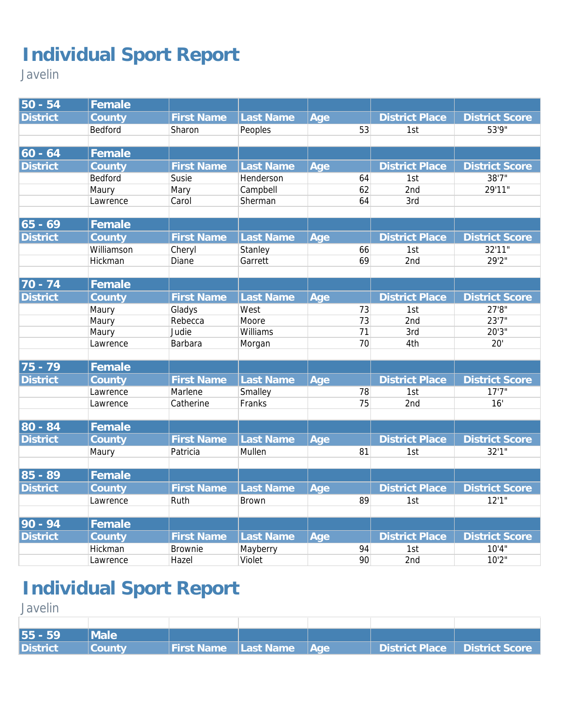Javelin

| 50 - 54         | Female         |                   |                  |     |          |                       |                                |
|-----------------|----------------|-------------------|------------------|-----|----------|-----------------------|--------------------------------|
| <b>District</b> | County         | <b>First Name</b> | Last Name        | Age |          | <b>District Place</b> | <b>District Score</b>          |
|                 | Bedford        | Sharon            | Peoples          |     | 53       | 1st                   | 53'9"                          |
|                 |                |                   |                  |     |          |                       |                                |
| $ 60 - 64$      | Female         |                   |                  |     |          |                       |                                |
| <b>District</b> | County         | <b>First Name</b> | Last Name        | Age |          | <b>District Place</b> | <b>District Score</b>          |
|                 | Bedford        | Susie             | Henderson        |     | 64       | 1st                   | 38'7''                         |
|                 | Maury          | Mary              | Campbell         |     | 62       | 2nd                   | 29'11"                         |
|                 | Lawrence       | Carol             | Sherman          |     | 64       | 3rd                   |                                |
|                 |                |                   |                  |     |          |                       |                                |
| $ 65 - 69$      | Female         |                   |                  |     |          |                       |                                |
| <b>District</b> | County         | <b>First Name</b> | <b>Last Name</b> | Age |          | <b>District Place</b> | <b>District Score</b>          |
|                 | Williamson     | Cheryl            | Stanley          |     | 66       | 1st                   | 32'11"                         |
|                 | Hickman        | Diane             | Garrett          |     | 69       | 2nd                   | 29'2"                          |
| $70 - 74$       | Female         |                   |                  |     |          |                       |                                |
| <b>District</b> |                | <b>First Name</b> |                  |     |          |                       |                                |
|                 | County         |                   | Last Name        | Age |          | <b>District Place</b> | <b>District Score</b><br>27'8" |
|                 | Maury<br>Maury | Gladys<br>Rebecca | West<br>Moore    |     | 73<br>73 | 1st<br>2nd            | 23'7"                          |
|                 | Maury          | Judie             | Williams         |     | 71       | 3rd                   | 20'3"                          |
|                 | Lawrence       | Barbara           | Morgan           |     | 70       | 4th                   | 20'                            |
|                 |                |                   |                  |     |          |                       |                                |
| 75 - 79         | Female         |                   |                  |     |          |                       |                                |
| <b>District</b> | County         | <b>First Name</b> | Last Name        | Age |          | <b>District Place</b> | <b>District Score</b>          |
|                 | Lawrence       | Marlene           | Smalley          |     | 78       | 1st                   | 17'7''                         |
|                 | Lawrence       | Catherine         | Franks           |     | 75       | 2nd                   | 16'                            |
|                 |                |                   |                  |     |          |                       |                                |
| 80 - 84         | Female         |                   |                  |     |          |                       |                                |
| <b>District</b> | County         | <b>First Name</b> | <b>Last Name</b> | Age |          | <b>District Place</b> | <b>District Score</b>          |
|                 | Maury          | Patricia          | Mullen           |     | 81       | 1st                   | 32'1''                         |
| $85 - 89$       | Female         |                   |                  |     |          |                       |                                |
| <b>District</b> | County         | <b>First Name</b> | Last Name        | Age |          | <b>District Place</b> | <b>District Score</b>          |
|                 | Lawrence       | Ruth              | <b>Brown</b>     |     | 89       | 1st                   | 12'1''                         |
|                 |                |                   |                  |     |          |                       |                                |
| $90 - 94$       | Female         |                   |                  |     |          |                       |                                |
| <b>District</b> | County         | <b>First Name</b> | Last Name        | Age |          | <b>District Place</b> | <b>District Score</b>          |
|                 | Hickman        | Brownie           | Mayberry         |     | 94       | 1st                   | 10'4"                          |
|                 | Lawrence       | Hazel             | Violet           |     | 90       | 2nd                   | 10'2''                         |

# **Individual Sport Report**

Javelin

| 55 - 59  | Male   |                             |             |                                 |
|----------|--------|-----------------------------|-------------|---------------------------------|
| District | Countv | <b>First Name</b> Last Name | <b>NAGE</b> | District Place   District Score |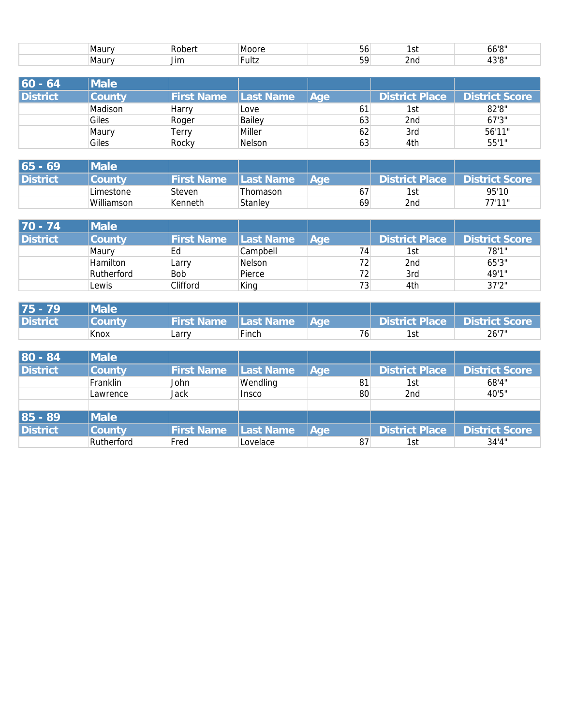| ⊪Maur | -<br>.nori<br>. Rr | ⊣Moor∕      | $-$<br>JU  | $\sim$<br>، ت | 101<br>oo |
|-------|--------------------|-------------|------------|---------------|-----------|
| ⊪Maur | <br>Jim            | -<br>⊺⊦ult∠ | - -<br>. . | 2nd           | 2101<br>. |

| 60 - 64  | <b>Male</b> |                   |                   |     |                 |                       |
|----------|-------------|-------------------|-------------------|-----|-----------------|-----------------------|
| District | County      | <b>First Name</b> | <b>ILast Name</b> | Age | District Place  | <b>District Score</b> |
|          | Madison     | Harry             | Love              | 61  | 1st             | 82'8''                |
|          | Giles       | Roger             | Bailey            | 63  | 2 <sub>nd</sub> | 67'3''                |
|          | Maury       | Terry             | Miller            | 62  | 3rd             | 56'11"                |
|          | Giles       | Rocky             | Nelson            | 63  | 4th             | 55'1"                 |

| 65 - 69         | <i><b>Male</b></i> |                   |            |            |                 |                       |
|-----------------|--------------------|-------------------|------------|------------|-----------------|-----------------------|
| <b>District</b> | County             | <b>First Name</b> | ILast Name | <b>Aae</b> | District Place  | <b>District Score</b> |
|                 | Limestone          | Steven            | Thomason   | 67         | 1st             | 95'10                 |
|                 | Williamson         | Kenneth           | Stanley    | 69         | 2 <sub>nd</sub> | 77'11"                |

| 170 - 74        | Male       |            |           |                 |                |                       |
|-----------------|------------|------------|-----------|-----------------|----------------|-----------------------|
| <b>District</b> | County     | First Name | Last Name | Age             | District Place | <b>District Score</b> |
|                 | Maury      | Ed         | Campbell  | 74              | 1st            | 78'1"                 |
|                 | Hamilton   | Larry      | Nelson    | 72              | 2nd            | 65'3"                 |
|                 | Rutherford | <b>Bob</b> | Pierce    | 72 <sub>1</sub> | 3rd            | 49'1"                 |
|                 | Lewis      | Clifford   | King      | 73              | 4th            | 37'2"                 |

| 175 - 79 | <b>Male</b> |                             |       |             |     |                                 |
|----------|-------------|-----------------------------|-------|-------------|-----|---------------------------------|
| District | ICountv     | <b>First Name</b> Last Name |       | <b>NAGE</b> |     | District Place   District Score |
|          | Knox        | Larry                       | Finch | 76          | 1st | 26'7"                           |

| 80 - 84         | <b>Male</b>   |                   |           |     |                       |                       |
|-----------------|---------------|-------------------|-----------|-----|-----------------------|-----------------------|
| <b>District</b> | <b>County</b> | <b>First Name</b> | Last Name | Age | <b>District Place</b> | <b>District Score</b> |
|                 | Franklin      | John              | Wendling  | 81  | 1st                   | 68'4"                 |
|                 | Lawrence      | Jack              | Insco     | 80  | 2 <sub>nd</sub>       | 40'5"                 |
|                 |               |                   |           |     |                       |                       |
| 85 - 89         | <b>Male</b>   |                   |           |     |                       |                       |
| <b>District</b> | <b>County</b> | <b>First Name</b> | Last Name | Age | <b>District Place</b> | <b>District Score</b> |
|                 | Rutherford    | Fred              | Lovelace  | 87  | 1st                   | 34'4''                |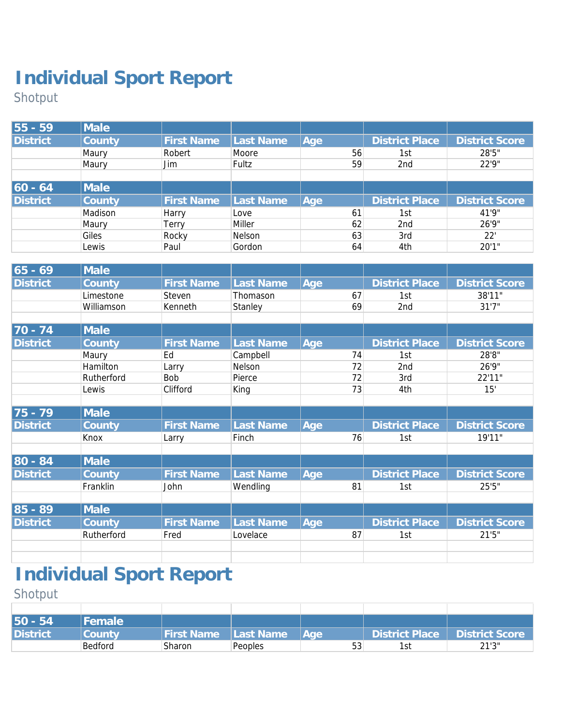Shotput

| 55 - 59         | Male    |                   |           |     |    |                       |                       |
|-----------------|---------|-------------------|-----------|-----|----|-----------------------|-----------------------|
| <b>District</b> | County  | <b>First Name</b> | Last Name | Age |    | <b>District Place</b> | <b>District Score</b> |
|                 | Maury   | Robert            | Moore     |     | 56 | 1st                   | 28'5"                 |
|                 | Maury   | Jim               | Fultz     |     | 59 | 2 <sub>nd</sub>       | 22'9"                 |
|                 |         |                   |           |     |    |                       |                       |
| $ 60 - 64 $     | Male    |                   |           |     |    |                       |                       |
| <b>District</b> | County  | <b>First Name</b> | Last Name | Age |    | <b>District Place</b> | <b>District Score</b> |
|                 | Madison | Harry             | Love      |     | 61 | 1st                   | 41'9"                 |
|                 | Maury   | Terry             | Miller    |     | 62 | 2nd                   | 26'9"                 |
|                 | Giles   | Rocky             | Nelson    |     | 63 | 3rd                   | 22'                   |
|                 | Lewis   | Paul              | Gordon    |     | 64 | 4th                   | 20'1"                 |

| $65 - 69$       | Male       |                   |           |     |                       |                       |
|-----------------|------------|-------------------|-----------|-----|-----------------------|-----------------------|
| <b>District</b> | County     | <b>First Name</b> | Last Name | Age | <b>District Place</b> | <b>District Score</b> |
|                 | Limestone  | Steven            | Thomason  | 67  | 1st                   | 38'11"                |
|                 | Williamson | Kenneth           | Stanley   | 69  | 2nd                   | 31'7''                |
|                 |            |                   |           |     |                       |                       |
| $70 - 74$       | Male       |                   |           |     |                       |                       |
| <b>District</b> | County     | <b>First Name</b> | Last Name | Age | <b>District Place</b> | <b>District Score</b> |
|                 | Maury      | Ed                | Campbell  | 74  | 1st                   | 28'8"                 |
|                 | Hamilton   | Larry             | Nelson    | 72  | 2nd                   | 26'9"                 |
|                 | Rutherford | Bob               | Pierce    | 72  | 3rd                   | 22'11"                |
|                 | Lewis      | Clifford          | King      | 73  | 4th                   | 15'                   |
|                 |            |                   |           |     |                       |                       |
| $75 - 79$       | Male       |                   |           |     |                       |                       |
| <b>District</b> | County     | <b>First Name</b> | Last Name | Age | <b>District Place</b> | <b>District Score</b> |
|                 | Knox       | Larry             | Finch     | 76  | 1st                   | 19'11"                |
|                 |            |                   |           |     |                       |                       |
| 80 - 84         | Male       |                   |           |     |                       |                       |
| <b>District</b> | County     | <b>First Name</b> | Last Name | Age | <b>District Place</b> | <b>District Score</b> |
|                 | Franklin   | John              | Wendling  | 81  | 1st                   | 25'5"                 |
|                 |            |                   |           |     |                       |                       |
| 85 - 89         | Male       |                   |           |     |                       |                       |
| <b>District</b> | County     | <b>First Name</b> | Last Name | Age | <b>District Place</b> | <b>District Score</b> |
|                 | Rutherford | Fred              | Lovelace  | 87  | 1st                   | 21'5''                |
|                 |            |                   |           |     |                       |                       |
|                 |            |                   |           |     |                       |                       |

# **Individual Sport Report**

Shotput

| 50 - 54         | <b>Female</b> |                   |           |             |                       |                       |
|-----------------|---------------|-------------------|-----------|-------------|-----------------------|-----------------------|
| <b>District</b> | County        | <b>First Name</b> | Last Name | <b>A</b> qe | <b>District Place</b> | <b>District Score</b> |
|                 | Bedford       | Sharon            | Peoples   | 53          | l st                  | 21'3''                |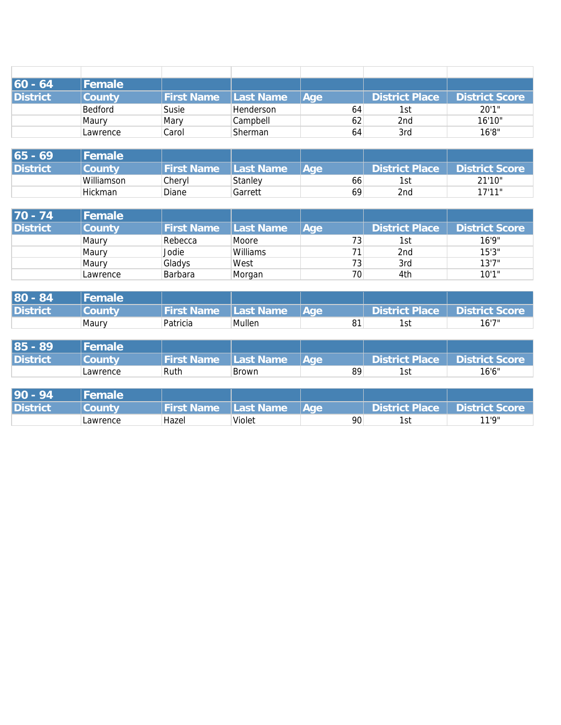| $ 60 - 64 $     | <b>Female</b> |                   |                  |      |                 |                       |
|-----------------|---------------|-------------------|------------------|------|-----------------|-----------------------|
| <b>District</b> | County        | <b>First Name</b> | Last Name        | lAae | District Place  | <b>District Score</b> |
|                 | Bedford       | Susie             | <b>Henderson</b> | 64   | 1st             | 20'1"                 |
|                 | Maury         | Mary              | Campbell         | 62   | 2 <sub>nd</sub> | 16'10"                |
|                 | Lawrence      | Carol             | Sherman          | 64   | 3rd             | 16'8"                 |

| 65 - 69  | Female        |            |                |             |                |                       |
|----------|---------------|------------|----------------|-------------|----------------|-----------------------|
| District | <b>County</b> | First Name | Last Name      | <b>IAae</b> | District Place | <b>District Score</b> |
|          | Williamson    | Cheryl     | <b>Stanley</b> | 66          |                | 21'10"                |
|          | Hickman       | Diane      | Garrett        | 69          | 2nd            | 17'11"                |

| $70 - 74$       | Female   |                   |           |            |                |                       |
|-----------------|----------|-------------------|-----------|------------|----------------|-----------------------|
| <b>District</b> | County   | <b>First Name</b> | Last Name | <b>Aae</b> | District Place | <b>District Score</b> |
|                 | Maury    | Rebecca           | Moore     | 73         | 1st            | 16'9"                 |
|                 | Maury    | Jodie             | Williams  | 71         | 2nd            | 15'3''                |
|                 | Maury    | Gladys            | West      | 73         | 3rd            | 13'7''                |
|                 | Lawrence | Barbara           | Morgan    | 70         | 4th            | 10'1"                 |

| $80 - 84$       | Female |                   |              |      |                |                       |
|-----------------|--------|-------------------|--------------|------|----------------|-----------------------|
| <b>District</b> | zountv | <b>First Name</b> | IlLast Name' | lAae | District Place | <b>District Score</b> |
|                 | Maury  | Patricia          | Mullen       | 81   | l st           | 16'7''                |

| $85 - 89$       | l Female'                     |                   |                  |             |                |                       |
|-----------------|-------------------------------|-------------------|------------------|-------------|----------------|-----------------------|
| <b>District</b> | $\mathcal L$ ount $\mathsf V$ | <b>First Name</b> | <b>Last Name</b> | <b>NAGE</b> | District Place | <b>District Score</b> |
|                 | Lawrence                      | Ruth              | <b>Brown</b>     | 89          | Ist            | 16'6''                |

| $90 - 94$       | Female   |                   |                   |      |                |                       |
|-----------------|----------|-------------------|-------------------|------|----------------|-----------------------|
| <b>District</b> | Zountv   | <b>First Name</b> | <b>ILast Name</b> | lAae | District Place | <b>District Score</b> |
|                 | Lawrence | Hazel             | Violet            | 90   | 1st            | 11'0"                 |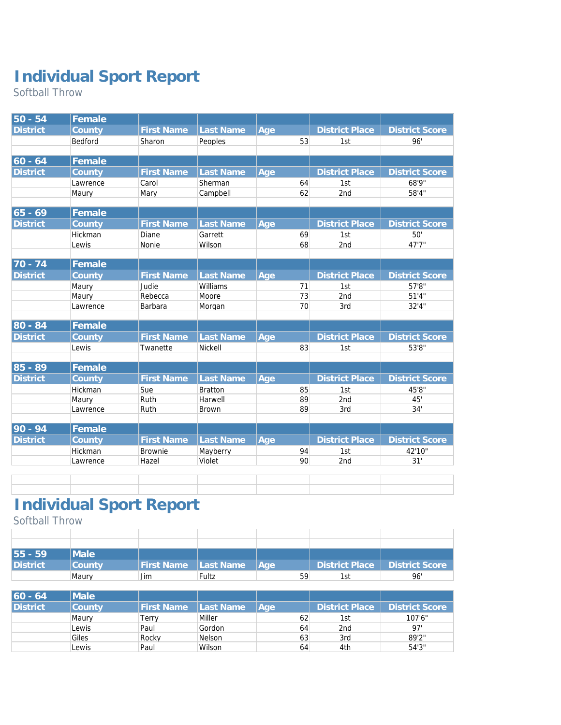Softball Throw

| $50 - 54$            | Female   |                   |                  |     |    |                       |                       |
|----------------------|----------|-------------------|------------------|-----|----|-----------------------|-----------------------|
| <b>District</b>      | County   | <b>First Name</b> | Last Name        | Age |    | <b>District Place</b> | <b>District Score</b> |
|                      | Bedford  | Sharon            | Peoples          |     | 53 | 1st                   | 96'                   |
|                      |          |                   |                  |     |    |                       |                       |
| $ 60 - 64$           | Female   |                   |                  |     |    |                       |                       |
| <b>District</b>      | County   | <b>First Name</b> | Last Name        | Age |    | <b>District Place</b> | <b>District Score</b> |
|                      | Lawrence | Carol             | Sherman          |     | 64 | 1st                   | 68'9"                 |
|                      | Maury    | Mary              | Campbell         |     | 62 | 2 <sub>nd</sub>       | 58'4"                 |
|                      |          |                   |                  |     |    |                       |                       |
| $65 - 69$            | Female   |                   |                  |     |    |                       |                       |
| <b>District</b>      | County   | <b>First Name</b> | Last Name        | Age |    | <b>District Place</b> | <b>District Score</b> |
|                      | Hickman  | Diane             | Garrett          |     | 69 | 1st                   | 50'                   |
|                      | Lewis    | Nonie             | Wilson           |     | 68 | 2nd                   | 47'7"                 |
|                      |          |                   |                  |     |    |                       |                       |
| $70 - 74$            | Female   |                   |                  |     |    |                       |                       |
| <b>District</b>      | County   | <b>First Name</b> | <b>Last Name</b> | Age |    | <b>District Place</b> | <b>District Score</b> |
|                      | Maury    | Judie             | Williams         |     | 71 | 1st                   | 57'8"                 |
|                      | Maury    | Rebecca           | Moore            |     | 73 | 2nd                   | 51'4"                 |
|                      | Lawrence | Barbara           | Morgan           |     | 70 | 3rd                   | 32'4"                 |
| 80 - 84              | Female   |                   |                  |     |    |                       |                       |
| <b>District</b>      | County   | <b>First Name</b> | Last Name        | Age |    | <b>District Place</b> | <b>District Score</b> |
|                      | Lewis    | Twanette          | <b>Nickell</b>   |     | 83 | 1st                   | 53'8"                 |
|                      |          |                   |                  |     |    |                       |                       |
| $85 - 89$            | Female   |                   |                  |     |    |                       |                       |
| <b>District</b>      | County   | <b>First Name</b> | Last Name        | Age |    | <b>District Place</b> | <b>District Score</b> |
|                      | Hickman  | Sue               | <b>Bratton</b>   |     | 85 | 1st                   | 45'8"                 |
|                      | Maury    | Ruth              | Harwell          |     | 89 | 2nd                   | 45'                   |
|                      | Lawrence | Ruth              | Brown            |     | 89 | 3rd                   | 34'                   |
|                      |          |                   |                  |     |    |                       |                       |
| $\overline{90}$ - 94 | Female   |                   |                  |     |    |                       |                       |
| <b>District</b>      | County   | <b>First Name</b> | Last Name        | Age |    | <b>District Place</b> | <b>District Score</b> |
|                      | Hickman  | <b>Brownie</b>    | Mayberry         |     | 94 | 1st                   | 42'10"                |
|                      | Lawrence | Hazel             | Violet           |     | 90 | 2nd                   | 31'                   |

#### **Individual Sport Report**

Softball Throw

| 55 - 59  | <b>IMale</b> |                        |       |      |      |                                 |
|----------|--------------|------------------------|-------|------|------|---------------------------------|
| District | County       | First Name   Last Name |       | lAae |      | District Place   District Score |
|          | Maury        | Jim                    | Fultz | 59   | l S1 | 96'                             |

| $60 - 64$       | Male   |                   |                   |     |                 |                |
|-----------------|--------|-------------------|-------------------|-----|-----------------|----------------|
| <b>District</b> | Countv | <b>First Name</b> | <b>ILast Name</b> | Age | District Place  | District Score |
|                 | Maury  | Terrv             | Miller            | 62  | 1st             | 107'6''        |
|                 | Lewis  | Paul              | Gordon            | 64  | 2 <sub>nd</sub> | 97'            |
|                 | Giles  | Rocky             | <b>Nelson</b>     | 63  | 3rd             | 89'2"          |
|                 | Lewis  | Paul              | Wilson            | 64  | 4th             | 54'3''         |